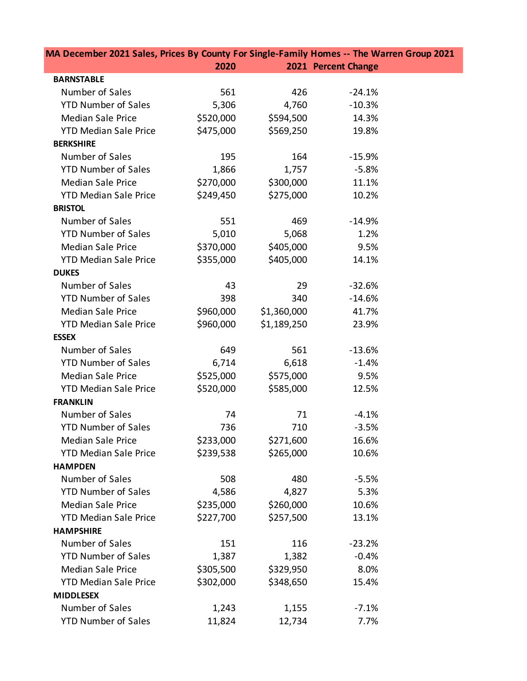| MA December 2021 Sales, Prices By County For Single-Family Homes -- The Warren Group 2021 |           |             |                     |  |  |
|-------------------------------------------------------------------------------------------|-----------|-------------|---------------------|--|--|
|                                                                                           | 2020      |             | 2021 Percent Change |  |  |
| <b>BARNSTABLE</b>                                                                         |           |             |                     |  |  |
| Number of Sales                                                                           | 561       | 426         | $-24.1%$            |  |  |
| <b>YTD Number of Sales</b>                                                                | 5,306     | 4,760       | $-10.3%$            |  |  |
| <b>Median Sale Price</b>                                                                  | \$520,000 | \$594,500   | 14.3%               |  |  |
| <b>YTD Median Sale Price</b>                                                              | \$475,000 | \$569,250   | 19.8%               |  |  |
| <b>BERKSHIRE</b>                                                                          |           |             |                     |  |  |
| Number of Sales                                                                           | 195       | 164         | $-15.9%$            |  |  |
| <b>YTD Number of Sales</b>                                                                | 1,866     | 1,757       | $-5.8%$             |  |  |
| <b>Median Sale Price</b>                                                                  | \$270,000 | \$300,000   | 11.1%               |  |  |
| <b>YTD Median Sale Price</b>                                                              | \$249,450 | \$275,000   | 10.2%               |  |  |
| <b>BRISTOL</b>                                                                            |           |             |                     |  |  |
| Number of Sales                                                                           | 551       | 469         | $-14.9%$            |  |  |
| <b>YTD Number of Sales</b>                                                                | 5,010     | 5,068       | 1.2%                |  |  |
| <b>Median Sale Price</b>                                                                  | \$370,000 | \$405,000   | 9.5%                |  |  |
| <b>YTD Median Sale Price</b>                                                              | \$355,000 | \$405,000   | 14.1%               |  |  |
| <b>DUKES</b>                                                                              |           |             |                     |  |  |
| Number of Sales                                                                           | 43        | 29          | $-32.6%$            |  |  |
| <b>YTD Number of Sales</b>                                                                | 398       | 340         | $-14.6%$            |  |  |
| <b>Median Sale Price</b>                                                                  | \$960,000 | \$1,360,000 | 41.7%               |  |  |
| <b>YTD Median Sale Price</b>                                                              | \$960,000 | \$1,189,250 | 23.9%               |  |  |
| <b>ESSEX</b>                                                                              |           |             |                     |  |  |
| Number of Sales                                                                           | 649       | 561         | $-13.6%$            |  |  |
| <b>YTD Number of Sales</b>                                                                | 6,714     | 6,618       | $-1.4%$             |  |  |
| <b>Median Sale Price</b>                                                                  | \$525,000 | \$575,000   | 9.5%                |  |  |
| <b>YTD Median Sale Price</b>                                                              | \$520,000 | \$585,000   | 12.5%               |  |  |
| <b>FRANKLIN</b>                                                                           |           |             |                     |  |  |
| Number of Sales                                                                           | 74        | 71          | $-4.1%$             |  |  |
| <b>YTD Number of Sales</b>                                                                | 736       | 710         | $-3.5%$             |  |  |
| <b>Median Sale Price</b>                                                                  | \$233,000 | \$271,600   | 16.6%               |  |  |
| <b>YTD Median Sale Price</b>                                                              | \$239,538 | \$265,000   | 10.6%               |  |  |
| <b>HAMPDEN</b>                                                                            |           |             |                     |  |  |
| Number of Sales                                                                           | 508       | 480         | $-5.5%$             |  |  |
| <b>YTD Number of Sales</b>                                                                | 4,586     | 4,827       | 5.3%                |  |  |
| <b>Median Sale Price</b>                                                                  | \$235,000 | \$260,000   | 10.6%               |  |  |
| <b>YTD Median Sale Price</b>                                                              | \$227,700 | \$257,500   | 13.1%               |  |  |
| <b>HAMPSHIRE</b>                                                                          |           |             |                     |  |  |
| Number of Sales                                                                           | 151       | 116         | $-23.2%$            |  |  |
| <b>YTD Number of Sales</b>                                                                | 1,387     | 1,382       | $-0.4%$             |  |  |
| <b>Median Sale Price</b>                                                                  | \$305,500 | \$329,950   | 8.0%                |  |  |
| <b>YTD Median Sale Price</b>                                                              | \$302,000 | \$348,650   | 15.4%               |  |  |
| <b>MIDDLESEX</b>                                                                          |           |             |                     |  |  |
| Number of Sales                                                                           | 1,243     | 1,155       | $-7.1%$             |  |  |
| <b>YTD Number of Sales</b>                                                                | 11,824    | 12,734      | 7.7%                |  |  |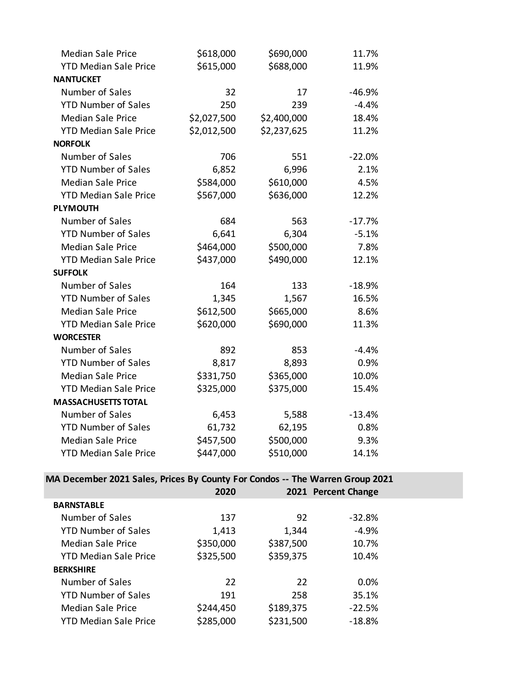| <b>Median Sale Price</b>     | \$618,000   | \$690,000   | 11.7%    |
|------------------------------|-------------|-------------|----------|
| <b>YTD Median Sale Price</b> | \$615,000   | \$688,000   | 11.9%    |
| <b>NANTUCKET</b>             |             |             |          |
| Number of Sales              | 32          | 17          | $-46.9%$ |
| <b>YTD Number of Sales</b>   | 250         | 239         | $-4.4%$  |
| <b>Median Sale Price</b>     | \$2,027,500 | \$2,400,000 | 18.4%    |
| <b>YTD Median Sale Price</b> | \$2,012,500 | \$2,237,625 | 11.2%    |
| <b>NORFOLK</b>               |             |             |          |
| Number of Sales              | 706         | 551         | $-22.0%$ |
| <b>YTD Number of Sales</b>   | 6,852       | 6,996       | 2.1%     |
| <b>Median Sale Price</b>     | \$584,000   | \$610,000   | 4.5%     |
| <b>YTD Median Sale Price</b> | \$567,000   | \$636,000   | 12.2%    |
| <b>PLYMOUTH</b>              |             |             |          |
| Number of Sales              | 684         | 563         | $-17.7%$ |
| <b>YTD Number of Sales</b>   | 6,641       | 6,304       | $-5.1%$  |
| <b>Median Sale Price</b>     | \$464,000   | \$500,000   | 7.8%     |
| <b>YTD Median Sale Price</b> | \$437,000   | \$490,000   | 12.1%    |
| <b>SUFFOLK</b>               |             |             |          |
| Number of Sales              | 164         | 133         | $-18.9%$ |
| <b>YTD Number of Sales</b>   | 1,345       | 1,567       | 16.5%    |
| <b>Median Sale Price</b>     | \$612,500   | \$665,000   | 8.6%     |
| <b>YTD Median Sale Price</b> | \$620,000   | \$690,000   | 11.3%    |
| <b>WORCESTER</b>             |             |             |          |
| Number of Sales              | 892         | 853         | $-4.4%$  |
| <b>YTD Number of Sales</b>   | 8,817       | 8,893       | 0.9%     |
| <b>Median Sale Price</b>     | \$331,750   | \$365,000   | 10.0%    |
| <b>YTD Median Sale Price</b> | \$325,000   | \$375,000   | 15.4%    |
| <b>MASSACHUSETTS TOTAL</b>   |             |             |          |
| Number of Sales              | 6,453       | 5,588       | $-13.4%$ |
| <b>YTD Number of Sales</b>   | 61,732      | 62,195      | 0.8%     |
| <b>Median Sale Price</b>     | \$457,500   | \$500,000   | 9.3%     |
| <b>YTD Median Sale Price</b> | \$447,000   | \$510,000   | 14.1%    |

**MA December 2021 Sales, Prices By County For Condos -- The Warren Group 2021**

|                              | 2020      |           | 2021 Percent Change |  |
|------------------------------|-----------|-----------|---------------------|--|
| <b>BARNSTABLE</b>            |           |           |                     |  |
| Number of Sales              | 137       | 92        | $-32.8%$            |  |
| <b>YTD Number of Sales</b>   | 1,413     | 1,344     | -4.9%               |  |
| Median Sale Price            | \$350,000 | \$387,500 | 10.7%               |  |
| <b>YTD Median Sale Price</b> | \$325,500 | \$359,375 | 10.4%               |  |
| <b>BERKSHIRE</b>             |           |           |                     |  |
| Number of Sales              | 22        | 22        | 0.0%                |  |
| <b>YTD Number of Sales</b>   | 191       | 258       | 35.1%               |  |
| Median Sale Price            | \$244,450 | \$189,375 | $-22.5%$            |  |
| <b>YTD Median Sale Price</b> | \$285,000 | \$231,500 | $-18.8%$            |  |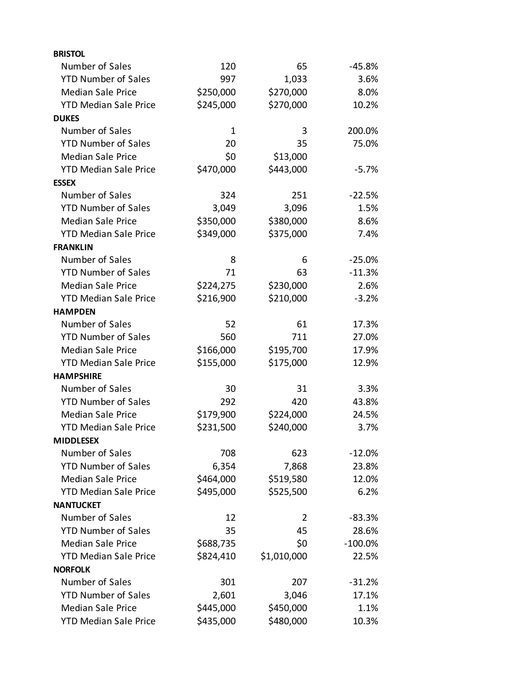| <b>BRISTOL</b>               |              |             |           |
|------------------------------|--------------|-------------|-----------|
| Number of Sales              | 120          | 65          | $-45.8%$  |
| <b>YTD Number of Sales</b>   | 997          | 1,033       | 3.6%      |
| <b>Median Sale Price</b>     | \$250,000    | \$270,000   | 8.0%      |
| <b>YTD Median Sale Price</b> | \$245,000    | \$270,000   | 10.2%     |
| <b>DUKES</b>                 |              |             |           |
| Number of Sales              | $\mathbf{1}$ | 3           | 200.0%    |
| <b>YTD Number of Sales</b>   | 20           | 35          | 75.0%     |
| <b>Median Sale Price</b>     | \$0          | \$13,000    |           |
| <b>YTD Median Sale Price</b> | \$470,000    | \$443,000   | $-5.7\%$  |
| <b>ESSEX</b>                 |              |             |           |
| Number of Sales              | 324          | 251         | $-22.5%$  |
| <b>YTD Number of Sales</b>   | 3,049        | 3,096       | 1.5%      |
| <b>Median Sale Price</b>     | \$350,000    | \$380,000   | 8.6%      |
| <b>YTD Median Sale Price</b> | \$349,000    | \$375,000   | 7.4%      |
| <b>FRANKLIN</b>              |              |             |           |
| Number of Sales              | 8            | 6           | $-25.0%$  |
| <b>YTD Number of Sales</b>   | 71           | 63          | $-11.3%$  |
| <b>Median Sale Price</b>     | \$224,275    | \$230,000   | 2.6%      |
| <b>YTD Median Sale Price</b> | \$216,900    | \$210,000   | $-3.2%$   |
| <b>HAMPDEN</b>               |              |             |           |
| Number of Sales              | 52           | 61          | 17.3%     |
| <b>YTD Number of Sales</b>   | 560          | 711         | 27.0%     |
| <b>Median Sale Price</b>     | \$166,000    | \$195,700   | 17.9%     |
| <b>YTD Median Sale Price</b> | \$155,000    | \$175,000   | 12.9%     |
| <b>HAMPSHIRE</b>             |              |             |           |
| Number of Sales              | 30           | 31          | 3.3%      |
| <b>YTD Number of Sales</b>   | 292          | 420         | 43.8%     |
| <b>Median Sale Price</b>     | \$179,900    | \$224,000   | 24.5%     |
| <b>YTD Median Sale Price</b> | \$231,500    | \$240,000   | 3.7%      |
| <b>MIDDLESEX</b>             |              |             |           |
| Number of Sales              | 708          | 623         | $-12.0%$  |
| <b>YTD Number of Sales</b>   | 6,354        | 7,868       | 23.8%     |
| <b>Median Sale Price</b>     | \$464,000    | \$519,580   | 12.0%     |
| <b>YTD Median Sale Price</b> | \$495,000    | \$525,500   | 6.2%      |
| <b>NANTUCKET</b>             |              |             |           |
| Number of Sales              | 12           | 2           | $-83.3%$  |
| <b>YTD Number of Sales</b>   | 35           | 45          | 28.6%     |
| <b>Median Sale Price</b>     | \$688,735    | \$0         | $-100.0%$ |
| <b>YTD Median Sale Price</b> | \$824,410    | \$1,010,000 | 22.5%     |
| <b>NORFOLK</b>               |              |             |           |
| Number of Sales              | 301          | 207         | $-31.2%$  |
| <b>YTD Number of Sales</b>   | 2,601        | 3,046       | 17.1%     |
| <b>Median Sale Price</b>     | \$445,000    | \$450,000   | 1.1%      |
| <b>YTD Median Sale Price</b> | \$435,000    | \$480,000   | 10.3%     |